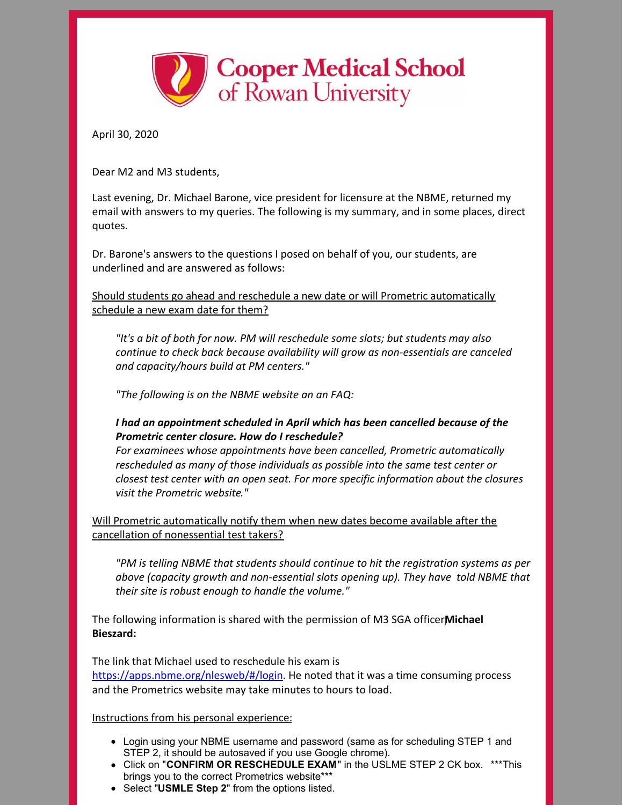

April 30, 2020

Dear M2 and M3 students,

Last evening, Dr. Michael Barone, vice president for licensure at the NBME, returned my email with answers to my queries. The following is my summary, and in some places, direct quotes.

Dr. Barone's answers to the questions I posed on behalf of you, our students, are underlined and are answered as follows:

Should students go ahead and reschedule a new date or will Prometric automatically schedule a new exam date for them?

*"It's a bit of both for now. PM will reschedule some slots; but students may also continue to check back because availability will grow as non-essentials are canceled and capacity/hours build at PM centers."*

*"The following is on the NBME website an an FAQ:*

## *I had an appointment scheduled in April which has been cancelled because of the Prometric center closure. How do I reschedule?*

*For examinees whose appointments have been cancelled, Prometric automatically rescheduled as many of those individuals as possible into the same test center or closest test center with an open seat. For more specific information about the closures visit the Prometric website."*

Will Prometric automatically notify them when new dates become available after the cancellation of nonessential test takers?

*"PM is telling NBME that students should continue to hit the registration systems as per above (capacity growth and non-essential slots opening up). They have told NBME that their site is robust enough to handle the volume."*

The following information is shared with the permission of M3 SGA officer**M**, **ichael Bieszard:**

The link that Michael used to reschedule his exam is <https://apps.nbme.org/nlesweb/#/login>. He noted that it was a time consuming process and the Prometrics website may take minutes to hours to load.

## Instructions from his personal experience:

- Login using your NBME username and password (same as for scheduling STEP 1 and STEP 2, it should be autosaved if you use Google chrome).
- Click on "**CONFIRM OR RESCHEDULE EXAM**" in the USLME STEP 2 CK box. \*\*\*This brings you to the correct Prometrics website\*\*\*
- Select "**USMLE Step 2**" from the options listed.